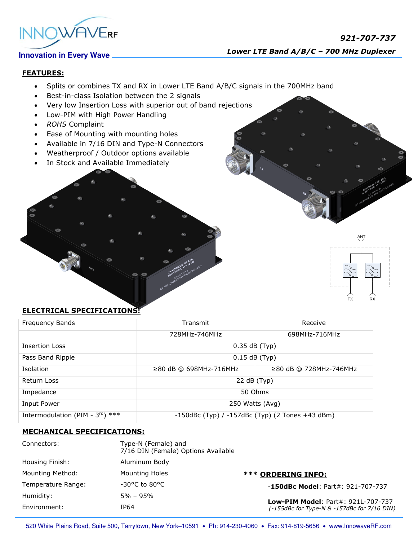

# **FEATURES:**

- Splits or combines TX and RX in Lower LTE Band A/B/C signals in the 700MHz band
- Best-in-class Isolation between the 2 signals
- Very low Insertion Loss with superior out of band rejections
- Low-PIM with High Power Handling
- *ROHS* Complaint
- Ease of Mounting with mounting holes
- Available in 7/16 DIN and Type-N Connectors
- Weatherproof / Outdoor options available
- In Stock and Available Immediately

# TX RX

ANT

## **ELECTRICAL SPECIFICATIONS:**

| Frequency Bands                              | Transmit                                              | Receive                      |
|----------------------------------------------|-------------------------------------------------------|------------------------------|
|                                              | 728MHz-746MHz                                         | 698MHz-716MHz                |
| <b>Insertion Loss</b>                        | $0.35$ dB (Typ)                                       |                              |
| Pass Band Ripple                             | $0.15$ dB (Typ)                                       |                              |
| Isolation                                    | $\geq$ 80 dB @ 698MHz-716MHz                          | $\geq$ 80 dB @ 728MHz-746MHz |
| Return Loss                                  | 22 dB (Typ)                                           |                              |
| Impedance                                    | 50 Ohms                                               |                              |
| Input Power                                  | 250 Watts (Avg)                                       |                              |
| Intermodulation (PIM - $3^{\text{rd}}$ ) *** | $-150$ dBc (Typ) / $-157$ dBc (Typ) (2 Tones +43 dBm) |                              |

## **MECHANICAL SPECIFICATIONS:**

| Connectors:        | Type-N (Female) and<br>7/16 DIN (Female) Options Available |                                                                                          |
|--------------------|------------------------------------------------------------|------------------------------------------------------------------------------------------|
| Housing Finish:    | Aluminum Body                                              |                                                                                          |
| Mounting Method:   | Mounting Holes                                             | <b>*** ORDERING INFO:</b>                                                                |
| Temperature Range: | $-30^{\circ}$ C to 80 $^{\circ}$ C                         | $-150$ dBc Model: Part#: 921-707-737                                                     |
| Humidity:          | $5\% - 95\%$                                               | <b>Low-PIM Model: Part#: 921L-707-737</b><br>(-155dBc for Type-N & -157dBc for 7/16 DIN) |
| Environment:       | IP64                                                       |                                                                                          |

520 White Plains Road, Suite 500, Tarrytown, New York-10591 . Ph: 914-230-4060 . Fax: 914-819-5656 . www.InnowaveRF.com